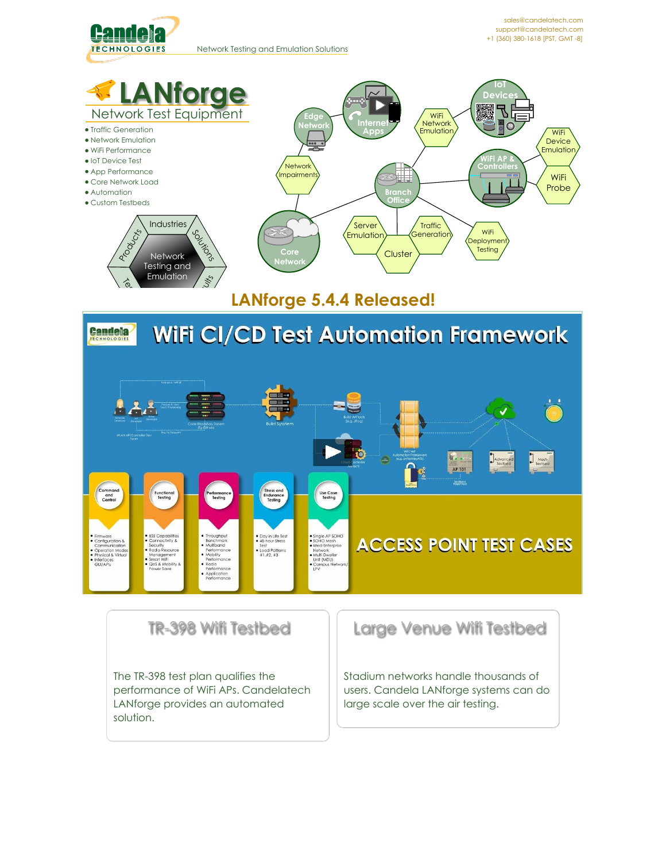



[sales@candelatech.com](mailto:sales@candelatech.com) [support@candelatech.com](mailto:support@candelatech.com) +1 (360) [380-1618](tel:+13603801618) [PST, GMT -8]



# **LANforge 5.4.4 [Released!](http://www.candelatech.com/release_features.php)**



### TR-398 Wifi Testbed

The TR-398 test plan qualifies the performance of WiFi APs. Candelatech LANforge provides an automated solution.

Large Venue Wifi Testbed

Stadium networks handle thousands of users. Candela LANforge systems can do large scale over the air testing.